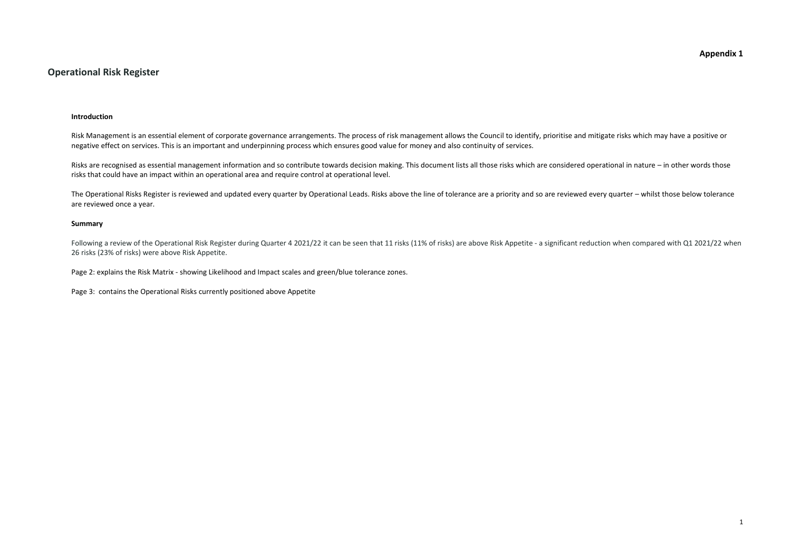## **Appendix 1**

## **Operational Risk Register**

#### **Introduction**

Risk Management is an essential element of corporate governance arrangements. The process of risk management allows the Council to identify, prioritise and mitigate risks which may have a positive or negative effect on services. This is an important and underpinning process which ensures good value for money and also continuity of services.

Risks are recognised as essential management information and so contribute towards decision making. This document lists all those risks which are considered operational in nature – in other words those risks that could have an impact within an operational area and require control at operational level.

The Operational Risks Register is reviewed and updated every quarter by Operational Leads. Risks above the line of tolerance are a priority and so are reviewed every quarter – whilst those below tolerance are reviewed once a year.

Following a review of the Operational Risk Register during Quarter 4 2021/22 it can be seen that 11 risks (11% of risks) are above Risk Appetite - a significant reduction when compared with Q1 2021/22 when 26 risks (23% of risks) were above Risk Appetite.

#### **Summary**

Page 2: explains the Risk Matrix - showing Likelihood and Impact scales and green/blue tolerance zones.

Page 3: contains the Operational Risks currently positioned above Appetite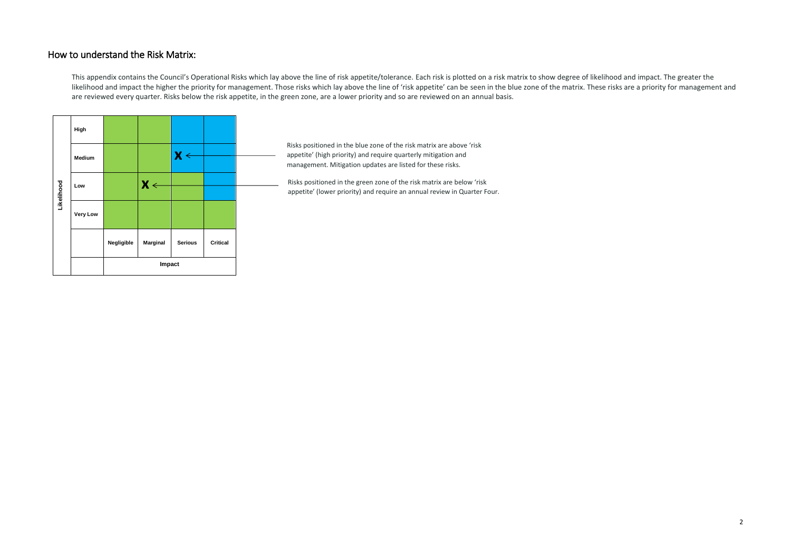## How to understand the Risk Matrix:

This appendix contains the Council's Operational Risks which lay above the line of risk appetite/tolerance. Each risk is plotted on a risk matrix to show degree of likelihood and impact. The greater the likelihood and impact the higher the priority for management. Those risks which lay above the line of 'risk appetite' can be seen in the blue zone of the matrix. These risks are a priority for management and are reviewed every quarter. Risks below the risk appetite, in the green zone, are a lower priority and so are reviewed on an annual basis.

|            | High            |            |                 |                         |                 |  |
|------------|-----------------|------------|-----------------|-------------------------|-----------------|--|
|            | Medium          |            |                 | $\mathbf{X} \leftarrow$ |                 |  |
| Likelihood | Low             |            | $X \leftarrow$  |                         |                 |  |
|            | <b>Very Low</b> |            |                 |                         |                 |  |
|            |                 | Negligible | <b>Marginal</b> | <b>Serious</b>          | <b>Critical</b> |  |
|            |                 |            | Impact          |                         |                 |  |

Risks positioned in the blue zone of the risk matrix are above 'risk appetite' (high priority) and require quarterly mitigation and management. Mitigation updates are listed for these risks.

Risks positioned in the green zone of the risk matrix are below 'risk appetite' (lower priority) and require an annual review in Quarter Four.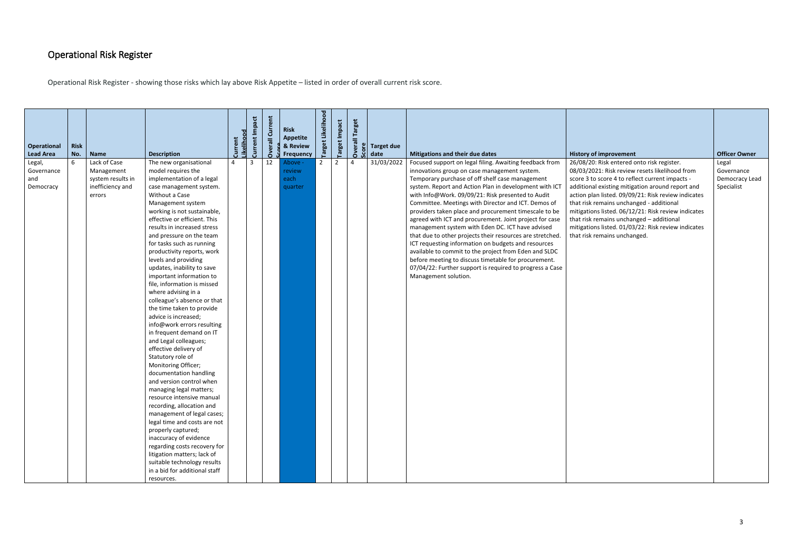# Operational Risk Register

Operational Risk Register - showing those risks which lay above Risk Appetite – listed in order of overall current risk score.

| <b>Operational</b><br><b>Lead Area</b>   | <b>Risk</b><br>No. | <b>Name</b>                                                                   | <b>Description</b>                                                                                                                                                                                                                                                                                                                                                                                                                                                                                                                                                                                                                                                                                                                                                                                                                                                                                                                                                                                                                                                                                                         | <b>ikelihood</b> | Current Impact | Current<br>$\overline{5}$<br>Š. | <b>Risk</b><br><b>Appetite</b><br>& Review<br>Frequency | Likelihood<br><b>Target</b> | Target Impact | <b>Target</b><br>ᄛ<br>Over | date | <b>Target due</b> | Mitigations and their due dates                                                                                                                                                                                                                                                                                                                                                                                                                                                                                                                                                                                                                                                                                                                                                                                                   | <b>History of improvement</b>                                                                                                                                                                                                                                                                                                                                                                                                                                                                    | <b>Officer Owner</b>                                |
|------------------------------------------|--------------------|-------------------------------------------------------------------------------|----------------------------------------------------------------------------------------------------------------------------------------------------------------------------------------------------------------------------------------------------------------------------------------------------------------------------------------------------------------------------------------------------------------------------------------------------------------------------------------------------------------------------------------------------------------------------------------------------------------------------------------------------------------------------------------------------------------------------------------------------------------------------------------------------------------------------------------------------------------------------------------------------------------------------------------------------------------------------------------------------------------------------------------------------------------------------------------------------------------------------|------------------|----------------|---------------------------------|---------------------------------------------------------|-----------------------------|---------------|----------------------------|------|-------------------|-----------------------------------------------------------------------------------------------------------------------------------------------------------------------------------------------------------------------------------------------------------------------------------------------------------------------------------------------------------------------------------------------------------------------------------------------------------------------------------------------------------------------------------------------------------------------------------------------------------------------------------------------------------------------------------------------------------------------------------------------------------------------------------------------------------------------------------|--------------------------------------------------------------------------------------------------------------------------------------------------------------------------------------------------------------------------------------------------------------------------------------------------------------------------------------------------------------------------------------------------------------------------------------------------------------------------------------------------|-----------------------------------------------------|
| Legal,<br>Governance<br>and<br>Democracy | 6                  | Lack of Case<br>Management<br>system results in<br>inefficiency and<br>errors | The new organisational<br>model requires the<br>implementation of a legal<br>case management system.<br>Without a Case<br>Management system<br>working is not sustainable,<br>effective or efficient. This<br>results in increased stress<br>and pressure on the team<br>for tasks such as running<br>productivity reports, work<br>levels and providing<br>updates, inability to save<br>important information to<br>file, information is missed<br>where advising in a<br>colleague's absence or that<br>the time taken to provide<br>advice is increased;<br>info@work errors resulting<br>in frequent demand on IT<br>and Legal colleagues;<br>effective delivery of<br>Statutory role of<br>Monitoring Officer;<br>documentation handling<br>and version control when<br>managing legal matters;<br>resource intensive manual<br>recording, allocation and<br>management of legal cases;<br>legal time and costs are not<br>properly captured;<br>inaccuracy of evidence<br>regarding costs recovery for<br>litigation matters; lack of<br>suitable technology results<br>in a bid for additional staff<br>resources. | 4                | $\overline{3}$ | 12                              | Above -<br>review<br>each<br>quarter                    | 2                           | 2             | $\overline{4}$             |      | 31/03/2022        | Focused support on legal filing. Awaiting feedback from<br>innovations group on case management system.<br>Temporary purchase of off shelf case management<br>system. Report and Action Plan in development with ICT<br>with Info@Work. 09/09/21: Risk presented to Audit<br>Committee. Meetings with Director and ICT. Demos of<br>providers taken place and procurement timescale to be<br>agreed with ICT and procurement. Joint project for case<br>management system with Eden DC. ICT have advised<br>that due to other projects their resources are stretched.<br>ICT requesting information on budgets and resources<br>available to commit to the project from Eden and SLDC<br>before meeting to discuss timetable for procurement.<br>07/04/22: Further support is required to progress a Case<br>Management solution. | 26/08/20: Risk entered onto risk register.<br>08/03/2021: Risk review resets likelihood from<br>score 3 to score 4 to reflect current impacts -<br>additional existing mitigation around report and<br>action plan listed. 09/09/21: Risk review indicates<br>that risk remains unchanged - additional<br>mitigations listed. 06/12/21: Risk review indicates<br>that risk remains unchanged - additional<br>mitigations listed. 01/03/22: Risk review indicates<br>that risk remains unchanged. | Legal<br>Governance<br>Democracy Lead<br>Specialist |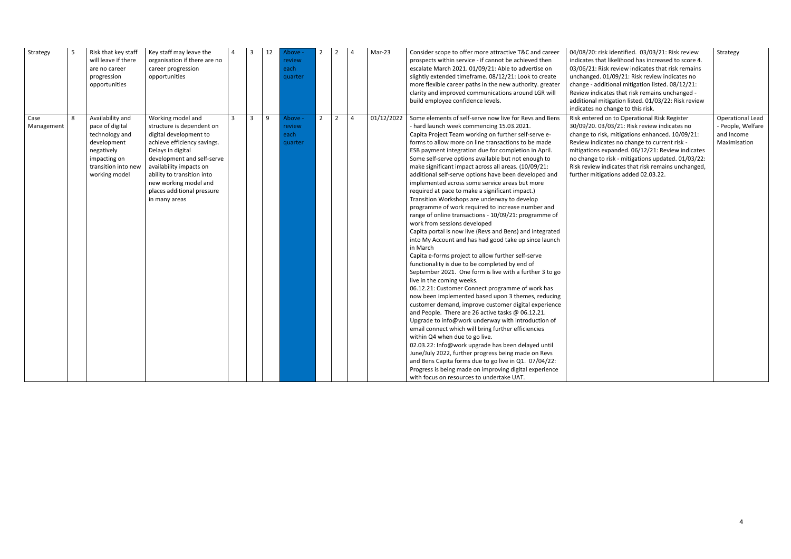| Strategy           |   | Risk that key staff<br>will leave if there<br>are no career<br>progression<br>opportunities                                                | Key staff may leave the<br>organisation if there are no<br>career progression<br>opportunities                                                                                                                                                                                              | $\overline{4}$ | $\overline{3}$ | 12  | Above -<br>review<br>each<br>quarter |             | $\sqrt{2}$ | $\overline{4}$ | Mar-23     | Consider scope to offer more attractive T&C and career<br>prospects within service - if cannot be achieved then<br>escalate March 2021. 01/09/21: Able to advertise on<br>slightly extended timeframe. 08/12/21: Look to create<br>more flexible career paths in the new authority. greater<br>clarity and improved communications around LGR will<br>build employee confidence levels.                                                                                                                                                                                                                                                                                                                                                                                                                                                                                                                                                                                                                                                                                                                                                                                                                                                                                                                                                                                                                                                                                                                                                                                                                                                                                                                                                   | 04/08/20: risk identified. 03/03/21: Risk review<br>indicates that likelihood has increased to score 4.<br>03/06/21: Risk review indicates that risk remains<br>unchanged. 01/09/21: Risk review indicates no<br>change - additional mitigation listed. 08/12/21:<br>Review indicates that risk remains unchanged -<br>additional mitigation listed. 01/03/22: Risk review<br>indicates no change to this risk. | Strategy                                                          |
|--------------------|---|--------------------------------------------------------------------------------------------------------------------------------------------|---------------------------------------------------------------------------------------------------------------------------------------------------------------------------------------------------------------------------------------------------------------------------------------------|----------------|----------------|-----|--------------------------------------|-------------|------------|----------------|------------|-------------------------------------------------------------------------------------------------------------------------------------------------------------------------------------------------------------------------------------------------------------------------------------------------------------------------------------------------------------------------------------------------------------------------------------------------------------------------------------------------------------------------------------------------------------------------------------------------------------------------------------------------------------------------------------------------------------------------------------------------------------------------------------------------------------------------------------------------------------------------------------------------------------------------------------------------------------------------------------------------------------------------------------------------------------------------------------------------------------------------------------------------------------------------------------------------------------------------------------------------------------------------------------------------------------------------------------------------------------------------------------------------------------------------------------------------------------------------------------------------------------------------------------------------------------------------------------------------------------------------------------------------------------------------------------------------------------------------------------------|-----------------------------------------------------------------------------------------------------------------------------------------------------------------------------------------------------------------------------------------------------------------------------------------------------------------------------------------------------------------------------------------------------------------|-------------------------------------------------------------------|
| Case<br>Management | 8 | Availability and<br>pace of digital<br>technology and<br>development<br>negatively<br>impacting on<br>transition into new<br>working model | Working model and<br>structure is dependent on<br>digital development to<br>achieve efficiency savings.<br>Delays in digital<br>development and self-serve<br>availability impacts on<br>ability to transition into<br>new working model and<br>places additional pressure<br>in many areas | $\mathbf{3}$   | $\overline{3}$ | l 9 | Above -<br>review<br>each<br>quarter | $2^{\circ}$ | 2          | $\overline{4}$ | 01/12/2022 | Some elements of self-serve now live for Revs and Bens<br>- hard launch week commencing 15.03.2021.<br>Capita Project Team working on further self-serve e-<br>forms to allow more on line transactions to be made<br>ESB payment integration due for completion in April.<br>Some self-serve options available but not enough to<br>make significant impact across all areas. (10/09/21:<br>additional self-serve options have been developed and<br>implemented across some service areas but more<br>required at pace to make a significant impact.)<br>Transition Workshops are underway to develop<br>programme of work required to increase number and<br>range of online transactions - 10/09/21: programme of<br>work from sessions developed<br>Capita portal is now live (Revs and Bens) and integrated<br>into My Account and has had good take up since launch<br>in March<br>Capita e-forms project to allow further self-serve<br>functionality is due to be completed by end of<br>September 2021. One form is live with a further 3 to go<br>live in the coming weeks.<br>06.12.21: Customer Connect programme of work has<br>now been implemented based upon 3 themes, reducing<br>customer demand, improve customer digital experience<br>and People. There are 26 active tasks @ 06.12.21.<br>Upgrade to info@work underway with introduction of<br>email connect which will bring further efficiencies<br>within Q4 when due to go live.<br>02.03.22: Info@work upgrade has been delayed until<br>June/July 2022, further progress being made on Revs<br>and Bens Capita forms due to go live in Q1. 07/04/22:<br>Progress is being made on improving digital experience<br>with focus on resources to undertake UAT. | Risk entered on to Operational Risk Register<br>30/09/20. 03/03/21: Risk review indicates no<br>change to risk, mitigations enhanced. 10/09/21:<br>Review indicates no change to current risk -<br>mitigations expanded. 06/12/21: Review indicates<br>no change to risk - mitigations updated. 01/03/22:<br>Risk review indicates that risk remains unchanged,<br>further mitigations added 02.03.22.          | Operational Lead<br>People, Welfare<br>and Income<br>Maximisation |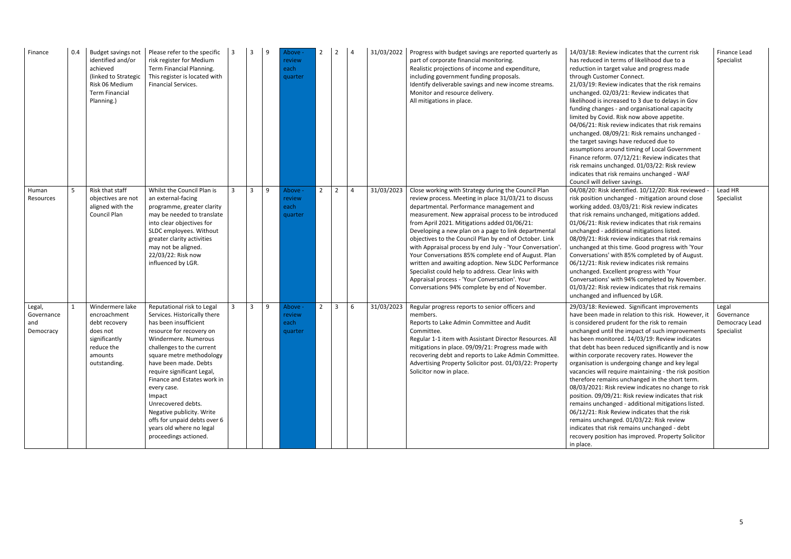| Finance                                  | 0.4 | Budget savings not<br>identified and/or<br>achieved<br>(linked to Strategic<br>Risk 06 Medium<br>Term Financial<br>Planning.) | Please refer to the specific<br>risk register for Medium<br>Term Financial Planning.<br>This register is located with<br>Financial Services.                                                                                                                                                                                                                                                                                                            | 3            | 3              | 9 | - Above<br>review<br>each<br>quarter | $\mathbf{2}$ | 2              | 4              | 31/03/2022 | Progress with budget savings are reported quarterly as<br>part of corporate financial monitoring.<br>Realistic projections of income and expenditure,<br>including government funding proposals.<br>Identify deliverable savings and new income streams.<br>Monitor and resource delivery.<br>All mitigations in place.                                                                                                                                                                                                                                                                                                                                                                                             | 14/03/18: Review indicates that the current risk<br>has reduced in terms of likelihood due to a<br>reduction in target value and progress made<br>through Customer Connect.<br>21/03/19: Review indicates that the risk remains<br>unchanged. 02/03/21: Review indicates that<br>likelihood is increased to 3 due to delays in Gov<br>funding changes - and organisational capacity<br>limited by Covid. Risk now above appetite.<br>04/06/21: Risk review indicates that risk remains<br>unchanged. 08/09/21: Risk remains unchanged -<br>the target savings have reduced due to<br>assumptions around timing of Local Government<br>Finance reform. 07/12/21: Review indicates that<br>risk remains unchanged. 01/03/22: Risk review<br>indicates that risk remains unchanged - WAF<br>Council will deliver savings.                                                                                              | Finance Lead<br>Specialist                          |
|------------------------------------------|-----|-------------------------------------------------------------------------------------------------------------------------------|---------------------------------------------------------------------------------------------------------------------------------------------------------------------------------------------------------------------------------------------------------------------------------------------------------------------------------------------------------------------------------------------------------------------------------------------------------|--------------|----------------|---|--------------------------------------|--------------|----------------|----------------|------------|---------------------------------------------------------------------------------------------------------------------------------------------------------------------------------------------------------------------------------------------------------------------------------------------------------------------------------------------------------------------------------------------------------------------------------------------------------------------------------------------------------------------------------------------------------------------------------------------------------------------------------------------------------------------------------------------------------------------|---------------------------------------------------------------------------------------------------------------------------------------------------------------------------------------------------------------------------------------------------------------------------------------------------------------------------------------------------------------------------------------------------------------------------------------------------------------------------------------------------------------------------------------------------------------------------------------------------------------------------------------------------------------------------------------------------------------------------------------------------------------------------------------------------------------------------------------------------------------------------------------------------------------------|-----------------------------------------------------|
| Human<br>Resources                       |     | Risk that staff<br>objectives are not<br>aligned with the<br>Council Plan                                                     | Whilst the Council Plan is<br>an external-facing<br>programme, greater clarity<br>may be needed to translate<br>into clear objectives for<br>SLDC employees. Without<br>greater clarity activities<br>may not be aligned.<br>22/03/22: Risk now<br>influenced by LGR.                                                                                                                                                                                   | $\mathbf{3}$ | 3              | 9 | Above -<br>review<br>each<br>quarter | $2^{\circ}$  | $\overline{2}$ | $\overline{4}$ | 31/03/2023 | Close working with Strategy during the Council Plan<br>review process. Meeting in place 31/03/21 to discuss<br>departmental. Performance management and<br>measurement. New appraisal process to be introduced<br>from April 2021. Mitigations added 01/06/21:<br>Developing a new plan on a page to link departmental<br>objectives to the Council Plan by end of October. Link<br>with Appraisal process by end July - 'Your Conversation'<br>Your Conversations 85% complete end of August. Plan<br>written and awaiting adoption. New SLDC Performance<br>Specialist could help to address. Clear links with<br>Appraisal process - 'Your Conversation'. Your<br>Conversations 94% complete by end of November. | 04/08/20: Risk identified. 10/12/20: Risk reviewed<br>risk position unchanged - mitigation around close<br>working added. 03/03/21: Risk review indicates<br>that risk remains unchanged, mitigations added.<br>01/06/21: Risk review indicates that risk remains<br>unchanged - additional mitigations listed.<br>08/09/21: Risk review indicates that risk remains<br>unchanged at this time. Good progress with 'Your<br>Conversations' with 85% completed by of August.<br>06/12/21: Risk review indicates risk remains<br>unchanged. Excellent progress with 'Your<br>Conversations' with 94% completed by November.<br>01/03/22: Risk review indicates that risk remains<br>unchanged and influenced by LGR.                                                                                                                                                                                                  | Lead HR<br>Specialist                               |
| Legal,<br>Governance<br>and<br>Democracy |     | Windermere lake<br>encroachment<br>debt recovery<br>does not<br>significantly<br>reduce the<br>amounts<br>outstanding.        | Reputational risk to Legal<br>Services. Historically there<br>has been insufficient<br>resource for recovery on<br>Windermere. Numerous<br>challenges to the current<br>square metre methodology<br>have been made. Debts<br>require significant Legal,<br>Finance and Estates work in<br>every case.<br>Impact<br>Unrecovered debts.<br>Negative publicity. Write<br>offs for unpaid debts over 6<br>years old where no legal<br>proceedings actioned. | $\mathbf{3}$ | 3 <sup>1</sup> | 9 | Above -<br>review<br>each<br>quarter | $2^{\circ}$  | 3              | 6              | 31/03/2023 | Regular progress reports to senior officers and<br>members.<br>Reports to Lake Admin Committee and Audit<br>Committee.<br>Regular 1-1 item with Assistant Director Resources. All<br>mitigations in place. 09/09/21: Progress made with<br>recovering debt and reports to Lake Admin Committee.<br>Advertising Property Solicitor post. 01/03/22: Property<br>Solicitor now in place.                                                                                                                                                                                                                                                                                                                               | 29/03/18: Reviewed. Significant improvements<br>have been made in relation to this risk. However, it<br>is considered prudent for the risk to remain<br>unchanged until the impact of such improvements<br>has been monitored. 14/03/19: Review indicates<br>that debt has been reduced significantly and is now<br>within corporate recovery rates. However the<br>organisation is undergoing change and key legal<br>vacancies will require maintaining - the risk position<br>therefore remains unchanged in the short term.<br>08/03/2021: Risk review indicates no change to risk<br>position. 09/09/21: Risk review indicates that risk<br>remains unchanged - additional mitigations listed.<br>06/12/21: Risk Review indicates that the risk<br>remains unchanged. 01/03/22: Risk review<br>indicates that risk remains unchanged - debt<br>recovery position has improved. Property Solicitor<br>in place. | Legal<br>Governance<br>Democracy Lead<br>Specialist |